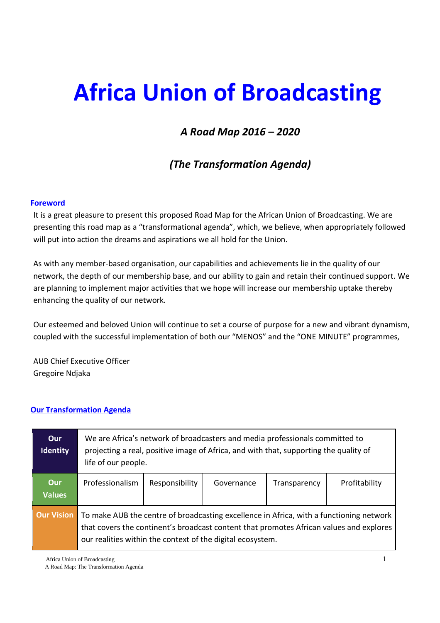# **Africa Union of Broadcasting**

# *A Road Map 2016 – 2020*

# *(The Transformation Agenda)*

## **Foreword**

It is a great pleasure to present this proposed Road Map for the African Union of Broadcasting. We are presenting this road map as a "transformational agenda", which, we believe, when appropriately followed will put into action the dreams and aspirations we all hold for the Union.

As with any member-based organisation, our capabilities and achievements lie in the quality of our network, the depth of our membership base, and our ability to gain and retain their continued support. We are planning to implement major activities that we hope will increase our membership uptake thereby enhancing the quality of our network.

Our esteemed and beloved Union will continue to set a course of purpose for a new and vibrant dynamism, coupled with the successful implementation of both our "MENOS" and the "ONE MINUTE" programmes,

AUB Chief Executive Officer Gregoire Ndjaka

# **Our Transformation Agenda**

| <b>Our</b><br><b>Identity</b> | We are Africa's network of broadcasters and media professionals committed to<br>projecting a real, positive image of Africa, and with that, supporting the quality of<br>life of our people.                                                     |                |            |              |               |  |
|-------------------------------|--------------------------------------------------------------------------------------------------------------------------------------------------------------------------------------------------------------------------------------------------|----------------|------------|--------------|---------------|--|
| <b>Our</b><br><b>Values</b>   | Professionalism                                                                                                                                                                                                                                  | Responsibility | Governance | Transparency | Profitability |  |
| <b>Our Vision</b>             | To make AUB the centre of broadcasting excellence in Africa, with a functioning network<br>that covers the continent's broadcast content that promotes African values and explores<br>our realities within the context of the digital ecosystem. |                |            |              |               |  |

Africa Union of Broadcasting 1

A Road Map: The Transformation Agenda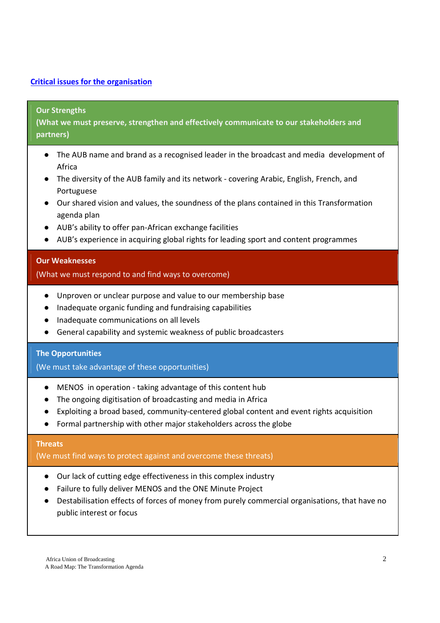# **Critical issues for the organisation**

#### **Our Strengths**

**(What we must preserve, strengthen and effectively communicate to our stakeholders and partners)**

- The AUB name and brand as a recognised leader in the broadcast and media development of Africa
- The diversity of the AUB family and its network covering Arabic, English, French, and Portuguese
- Our shared vision and values, the soundness of the plans contained in this Transformation agenda plan
- AUB's ability to offer pan-African exchange facilities
- AUB's experience in acquiring global rights for leading sport and content programmes

#### **Our Weaknesses**

#### (What we must respond to and find ways to overcome)

- Unproven or unclear purpose and value to our membership base
- Inadequate organic funding and fundraising capabilities
- Inadequate communications on all levels
- General capability and systemic weakness of public broadcasters

#### **The Opportunities**

(We must take advantage of these opportunities)

- MENOS in operation taking advantage of this content hub
- The ongoing digitisation of broadcasting and media in Africa
- Exploiting a broad based, community-centered global content and event rights acquisition
- Formal partnership with other major stakeholders across the globe

#### **Threats**

(We must find ways to protect against and overcome these threats)

- Our lack of cutting edge effectiveness in this complex industry
- Failure to fully deliver MENOS and the ONE Minute Project
- Destabilisation effects of forces of money from purely commercial organisations, that have no public interest or focus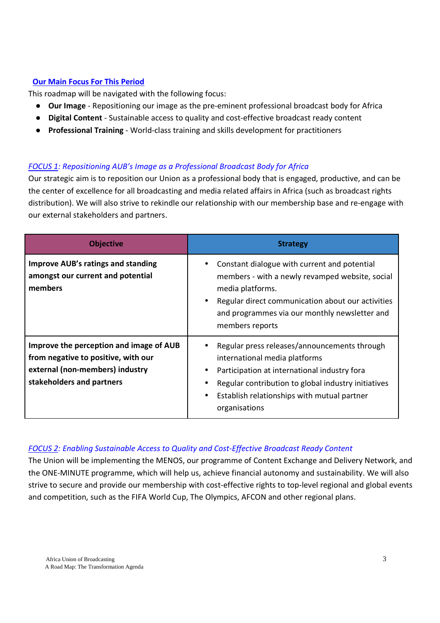# **Our Main Focus For This Period**

This roadmap will be navigated with the following focus:

- **Our Image** Repositioning our image as the pre-eminent professional broadcast body for Africa
- **Digital Content** Sustainable access to quality and cost-effective broadcast ready content
- **Professional Training** World-class training and skills development for practitioners

# *FOCUS 1: Repositioning AUB's Image as a Professional Broadcast Body for Africa*

Our strategic aim is to reposition our Union as a professional body that is engaged, productive, and can be the center of excellence for all broadcasting and media related affairs in Africa (such as broadcast rights distribution). We will also strive to rekindle our relationship with our membership base and re-engage with our external stakeholders and partners.

| <b>Objective</b>                                                                                                                               | <b>Strategy</b>                                                                                                                                                                                                                                      |
|------------------------------------------------------------------------------------------------------------------------------------------------|------------------------------------------------------------------------------------------------------------------------------------------------------------------------------------------------------------------------------------------------------|
| <b>Improve AUB's ratings and standing</b><br>amongst our current and potential<br>members                                                      | Constant dialogue with current and potential<br>members - with a newly revamped website, social<br>media platforms.<br>Regular direct communication about our activities<br>and programmes via our monthly newsletter and<br>members reports         |
| Improve the perception and image of AUB<br>from negative to positive, with our<br>external (non-members) industry<br>stakeholders and partners | Regular press releases/announcements through<br>international media platforms<br>Participation at international industry fora<br>Regular contribution to global industry initiatives<br>Establish relationships with mutual partner<br>organisations |

# *FOCUS 2: Enabling Sustainable Access to Quality and Cost-Effective Broadcast Ready Content*

The Union will be implementing the MENOS, our programme of Content Exchange and Delivery Network, and the ONE-MINUTE programme, which will help us, achieve financial autonomy and sustainability. We will also strive to secure and provide our membership with cost-effective rights to top-level regional and global events and competition, such as the FIFA World Cup, The Olympics, AFCON and other regional plans.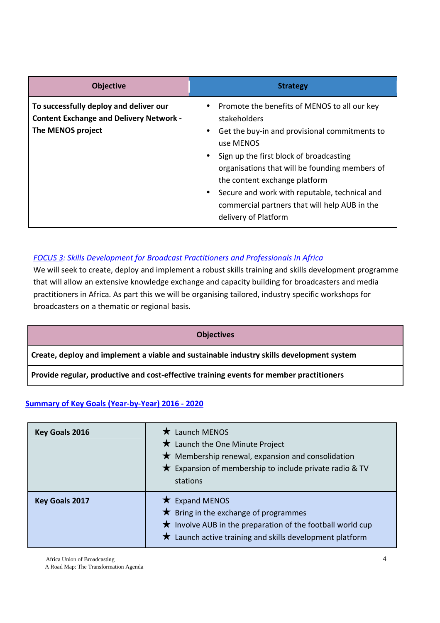| <b>Objective</b>                                                                                              | <b>Strategy</b>                                                                                                                                                                                                                                                                                                                                                                                                           |
|---------------------------------------------------------------------------------------------------------------|---------------------------------------------------------------------------------------------------------------------------------------------------------------------------------------------------------------------------------------------------------------------------------------------------------------------------------------------------------------------------------------------------------------------------|
| To successfully deploy and deliver our<br><b>Content Exchange and Delivery Network -</b><br>The MENOS project | Promote the benefits of MENOS to all our key<br>$\bullet$<br>stakeholders<br>Get the buy-in and provisional commitments to<br>$\bullet$<br>use MENOS<br>Sign up the first block of broadcasting<br>$\bullet$<br>organisations that will be founding members of<br>the content exchange platform<br>Secure and work with reputable, technical and<br>commercial partners that will help AUB in the<br>delivery of Platform |

# *FOCUS 3: Skills Development for Broadcast Practitioners and Professionals In Africa*

We will seek to create, deploy and implement a robust skills training and skills development programme that will allow an extensive knowledge exchange and capacity building for broadcasters and media practitioners in Africa. As part this we will be organising tailored, industry specific workshops for broadcasters on a thematic or regional basis.

#### **Objectives**

**Create, deploy and implement a viable and sustainable industry skills development system** 

**Provide regular, productive and cost-effective training events for member practitioners**

#### **Summary of Key Goals (Year-by-Year) 2016 - 2020**

| <b>Key Goals 2016</b> | $\star$ Launch MENOS<br>$\bigstar$ Launch the One Minute Project<br>$\bigstar$ Membership renewal, expansion and consolidation<br>$\star$ Expansion of membership to include private radio & TV<br>stations     |
|-----------------------|-----------------------------------------------------------------------------------------------------------------------------------------------------------------------------------------------------------------|
| Key Goals 2017        | $\star$ Expand MENOS<br>$\bigstar$ Bring in the exchange of programmes<br>$\star$ Involve AUB in the preparation of the football world cup<br>$\bigstar$ Launch active training and skills development platform |

Africa Union of Broadcasting 4

A Road Map: The Transformation Agenda